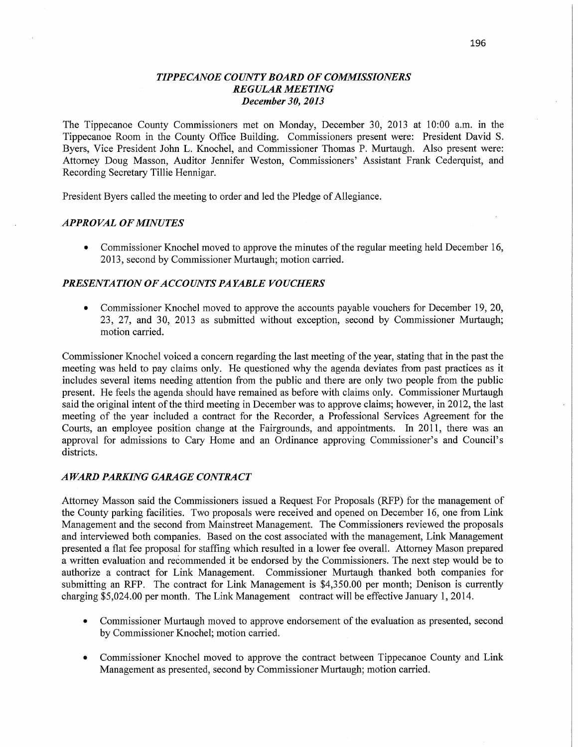### *TIPPE CANOE COUNTY BOARD* OF *COMMISSIONERS REGULAR MEETING December* 30, *2013*

The Tippecanoe County Commissioners met on Monday, December 30, 2013 at 10:00 am. in the Tippecanoe Room in the County Office Building. Commissioners present were: President David S. Byers, **Vice** President John L. Knochel, and Commissioner Thomas P. Murtaugh. Also present were: Attorney Doug Masson, Auditor Jennifer Weston, Commissioners' Assistant Frank Cederquist, and Recording Secretary Tillie Hennigar.

President Byers called the meeting to order and led the Pledge of Allegiance.

### *APPROVAL* OF *MINUTES*

**0** Commissioner Knochel moved to approve the minutes of the regular meeting held December 16, 2013, second by Commissioner Murtaugh; motion carried.

### *PRESENTATION OFACCO UNTS* PA *YABLE VOUCHERS*

**0** Commissioner Knochel moved to approve the accounts payable vouchers for December 19, 20, 23, 27, and 30, 2013 as submitted without exception, second by Commissioner Murtaugh; motion carried.

Commissioner Knochel voiced <sup>a</sup>concern regarding the last meeting of the year, stating that in the past the meeting was held to pay claims only. He questioned why the agenda deviates from past practices as it includes several items needing attention from the public and there are only two people from the public present. He feels the agenda should have remained as before with claims only. Commissioner Murtaugh said the original intent of the third meeting in December was to approve claims; however, in 2012, the last meeting of the year included a contract for the Recorder, a Professional Services Agreement for the Courts, an employee position change at the Fairgrounds, and appointments. In 2011, there was an approval for admissions to Cary Home and an Ordinance approving Commissioner's and Council's districts.

#### *AWARD PARKING GARAGE CONTRA* CT

Attorney Masson said the Commissioners issued a Request For Proposals (RFP) for the management of the County parking facilities. Two proposals were received and opened on December 16, one from Link Management and the second from Mainstreet Management. The Commissioners reviewed the proposals and interviewed both companies. Based on the cost associated with the management, Link Management presented a flat fee proposal for staffing which resulted in a lower fee overall. Attorney Mason prepared a written evaluation and recommended it be endorsed by the Commissioners. The next step would be to authorize a contract for **Link** Management. Commissioner Murtaugh thanked both companies for submitting an RFP. The contract for Link Management is \$4,350.00 per month; Denison is currently charging \$5,024.00 per month. The **Link** Management contract will be effective January 1, 2014.

- **0** Commissioner Murtaugh moved to approve endorsement of the evaluation as presented, second by Commissioner Knochel; motion carried.
- **0** Commissioner Knochel moved to approve the contract between Tippecanoe County and Link Management as presented, second by Commissioner Murtaugh; motion carried.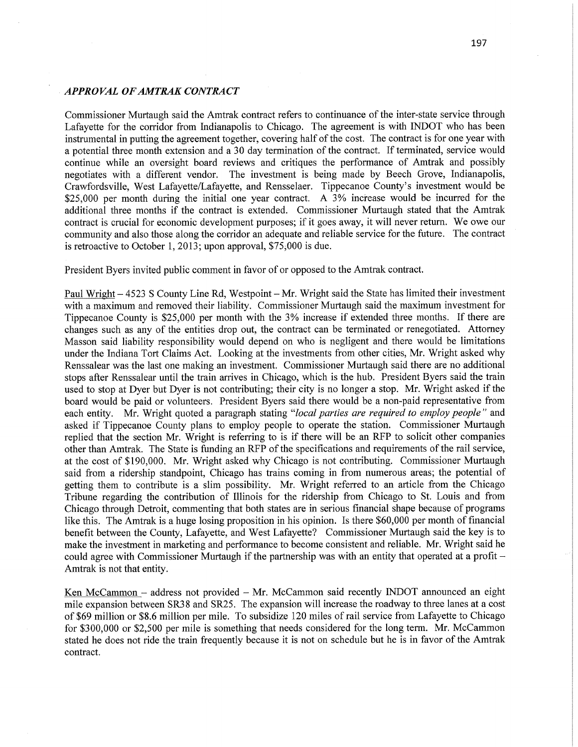### *. APPROVAL OFAMTRAK CONTRACT*

Commissioner Murtaugh said the Amtrak contract refers to continuance of the inter-state service through Lafayette for the corridor from Indianapolis to Chicago. The agreement is with INDOT who has been instrumental in putting the agreement together, covering half of the cost. The contract is for one year with <sup>a</sup>potential three month extension and a 30 day termination of the contract. If terminated, service would continue while an oversight board reviews and critiques the performance of Amtrak and possibly negotiates with a different vendor. The investment is being made by Beech Grove, Indianapolis, Crawfordsville, **West** Lafayette/Lafayette, and Rensselaer. Tippecanoe County's investment would be \$25,000 per month during the initial one year **contract. A** 3% increase would be incurred for the additional three months if the contract is extended. Commissioner Murtaugh stated **that** the **Amtrak**  contract is crucial for economic development **purposes;** if it goes away, it will never return. We owe our community and also those along the corridor an adequate and reliable service for the future. The contract is retroactive to **October** 1, 2013; upon approval, \$75;000 is due.

President Byers invited public comment in favor of or opposed to the Amtrak contract.

Paul Wright - 4523 S County Line Rd, Westpoint - Mr. Wright said the State has limited their investment with a maximum and removed their liability. Commissioner Murtaugh **said** the maximum investment for Tippecanoe County is \$25,000 per **month** with the 3% increase if extended three **months.** If there are changes such as any of the entities **drop** out, the contract can be terminated or renegotiated. Attorney Masson said liability responsibility would depend on who is negligent and there would be **limitations**  under the **Indiana Tort** Claims Act. Looking at the investments from other cities, Mr. Wright asked why Renssalear was the last one making an investment. Commissioner Murtaugh said there are no additional stops after Renssalear until the train arrives in Chicago, which is the hub. President Byers said the train used to stop at Dyer but Dyer is not contributing; their city is no longer a stop. Mr. Wright asked if the board would be paid or volunteers. President Byers said there would be a non-paid representative from each entity. Mr. Wright quoted a paragraph stating *"local parties* are *required* to *employ people "* and asked if Tippecanoe County plans to employ people to operate the **station.** Commissioner Murtaugh replied that the section Mr. **Wright** is referring to is if **there** will be an RFP to solicit other **companies**  other than Amtrak. The State is funding an RFP of the specifications and requirements of the rail service, at the cost of \$190,000. Mr. Wright asked why Chicago is not contributing. Commissioner Murtaugh said from a ridership standpoint, Chicago has trains coming in from numerous areas; the potential of getting them to contribute is a slim possibility. Mr. **Wright** referred to an article from the Chicago Tribune regarding the contribution of Illinois for the ridership from Chicago to St. Louis and from Chicago through Detroit, commenting that both states are in serious financial shape because of programs like this. The **Amtrak** is a **huge** losing proposition in his opinion. Is there \$60,000 per **month** of financial benefit between the County, Lafayette, and West Lafayette? Commissioner Murtaugh said the key is to make the investment in **marketing** and performance to become consistent and reliable. Mr. Wright said he could agree with Commissioner Murtaugh if the partnership was with an entity that operated at a profit *—* Amtrak is not that entity.

Ken McCammon — address not provided — Mr. McCammon said recently INDOT announced an eight mile expansion between SR38 and SR25. The expansion will increase the roadway to three lanes at a cost of \$69 million or **\$8.6** million per mile. To subsidize 120 miles of rail service from Lafayette to Chicago for \$300,000 or \$2,500 per mile is **something** that needs considered for the long term. Mr. **McCammon**  stated he does not ride the train frequently because it is not on schedule but he is in favor of the **Amtrak**  contract.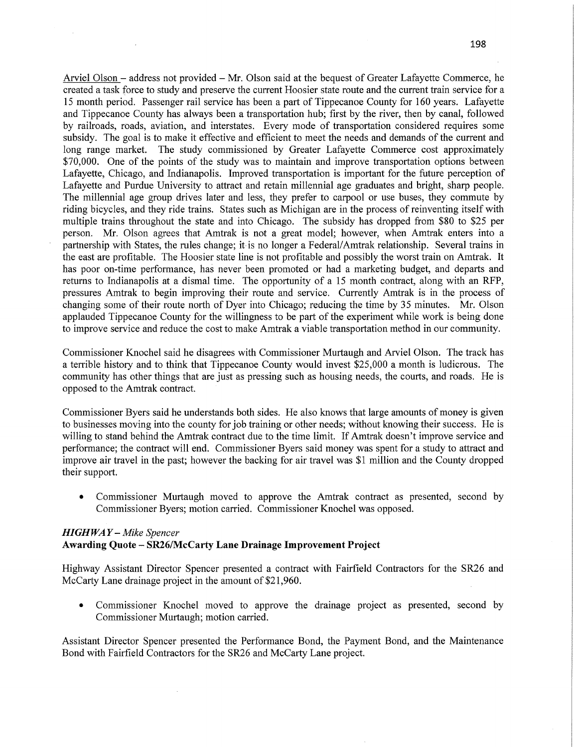Arviel Olson — address not provided **—** Mr. Olson said at the bequest of Greater Lafayette Commerce, he created a task force to study and preserve the current Hoosier state route and the current train service for <sup>a</sup> 15 month period. Passenger rail service has been a part of Tippecanoe County for 160 years. Lafayette and Tippecanoe County has always been a transportation hub; first by the river, then by canal, followed by railroads, roads, aviation, and interstates. Every mode of transportation considered requires some subsidy. The goal is to make it effective and efficient to meet the needs and demands of the current and long range market. The study commissioned by Greater Lafayette Commerce cost approximately \$70,000. One of the points of the study was to maintain and improve transportation options between Lafayette, Chicago, and Indianapolis. Improved transportation is important for the future perception of Lafayette and Purdue University to attract and retain millennial age graduates and bright, sharp people. The millennial age group drives later and less, they prefer to carpool or use buses, they commute by riding bicycles, and they ride trains. States such as Michigan are in the process of reinventing itself with multiple trains throughout the state and into Chicago. The subsidy has dropped from \$80 to \$25 per person. Mr. Olson agrees that Amtrak is not a great model; however, when Amtrak enters into <sup>a</sup> partnership with States, the rules change; it-is no longer a Federal/Amtrak relationship. Several trains in the east are profitable. The Hoosier state line is not profitable and possibly the worst train on Amtrak. It has poor on-time performance, has never been promoted or had a marketing budget, and departs and returns to Indianapolis at a dismal time. The opportunity of a 15 month contract, along with an RFP, pressures Amtrak to begin improving their route and service. Currently Amtrak is in the process of changing some of their route **north** of Dyer into Chicago; reducing the time by 35 minutes. Mr. Olson applauded Tippecanoe County for the willingness to be part of the experiment While work is being done to improve service and reduce the cost to make Amtrak a Viable transportation method in our community.

Commissioner Knochel said he disagrees with Commissioner Murtaugh and Arviel Olson. The track has <sup>a</sup>terrible history and to think that Tippecanoe County would invest \$25,000 a month is ludicrous. The community has other things that are just as pressing **such** as housing needs, the courts, and roads. He is opposed to the Amtrak contract.

Commissioner Byers said he understands both sides. He also knows that large amounts of money is given to businesses moving into the county for job training or other needs; without knowing their success. He is willing to stand behind the Amtrak contract due to the time limit. If Amtrak doesn't improve service and performance; the contract will end. Commissioner Byers said money was spent for a study to attract and improve air travel in the past; however the backing for air travel was \$1 million and the County dropped their support.

**0** Commissioner Murtaugh moved to approve the Amtrak contract as presented, second by Commissioner Byers; motion carried. Commissioner Knochel was opposed.

## *HIGHWAY — Mike Spencer*  **Awarding Quote — SR26/McCarty Lane Drainage Improvement Project**

Highway Assistant Director Spencer presented a contract with Fairfield Contractors for the SR26 and McCarty Lane drainage project in the amount of \$21,960.

**0** Commissioner Knochel moved to approve the drainage project as presented, second by Commissioner Murtaugh; motion carried.

Assistant Director Spencer presented the Performance Bond, the Payment Bond, and the Maintenance Bond with Fairfield Contractors for the SR26 and McCarty Lane project.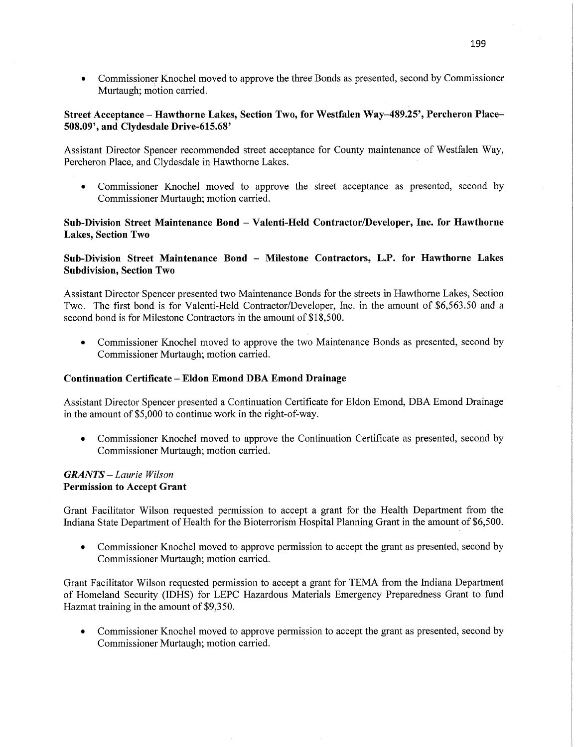**0** Commissioner Knochel moved to approve the three Bonds as presented, second by Commissioner Murtaugh; motion carried.

## **Street Acceptance** — **Hawthorne Lakes, Section Two,** for **Westfalen Way—489.25', Percheron Place— 508.09',** and **Clydesdale Drive-615.68'**

Assistant Director Spencer recommended street acceptance for County maintenance of Westfalen Way, Percheron Place, and Clydesdale in Hawthorne Lakes.

**0** Commissioner Knochel moved to approve the Street acceptance as presented, second by Commissioner Murtaugh; motion carried.

### **Sub-Division Street Maintenance Bond — Valenti-Held Contractor/Developer, Inc.** for **Hawthorne Lakes,** Section Two

### **Sub-Division Street Maintenance Bond -** Milestone **Contractors, L.P.** for **Hawthorne** Lakes **Subdivision, Section** Two

Assistant Director Spencer presented two Maintenance Bonds for the streets in Hawthorne Lakes, Section Two. The first bond is for Valenti-Held Contractor/Developer, Inc. in the amount of \$6,563.50 and <sup>a</sup> second bond is for Milestone Contractors in the amount of \$18,500.

• Commissioner Knochel moved to approve the two Maintenance Bonds as presented, second by Commissioner Murtaugh; motion carried.

#### **Continuation Certificate -** Eldon **Emond** DBA **Emond Drainage**

Assistant Director Spencer presented a Continuation Certificate for Eldon Emond, DBA Emond Drainage in the amount of \$5,000 to continue work in the right-of-way.

• Commissioner Knochel moved to approve the Continuation Certificate as presented, second by Commissioner Murtaugh; motion carried.

### *GRANTS — Laurie Wilson*  Permission to **Accept Grant**

Grant Facilitator Wilson requested permission to accept a grant for the Health Department from the Indiana State Department of Health for the Bioterrorisin Hospital Planning Grant in the amount of \$6,500.

**0** Commissioner Knochel moved to approve permission to accept the grant as presented, second by Commissioner Murtaugh; motion carried.

Grant Facilitator Wilson requested permission to accept a grant for TEMA from the Indiana Department of Homeland Security (IDHS) for LEPC Hazardous Materials Emergency Preparedness Grant to fund Hazmat training in the amount of \$9,350.

**0** Commissioner Knochel moved to approve permission to accept the grant as presented, second by Commissioner Murtaugh; motion carried.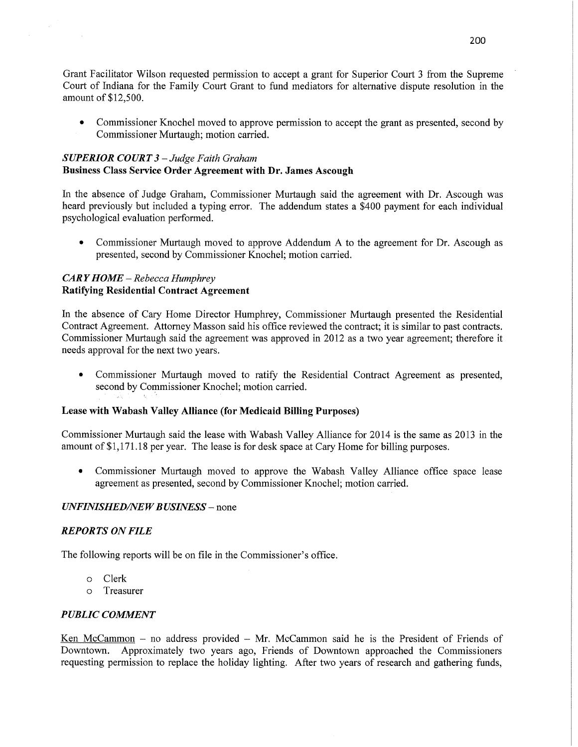Grant Facilitator Wilson requested permission to accept **a** grant for Superior **Court** 3 fi'om the Supreme Court of Indiana for the Family Court Grant to fund mediators for alternative dispute resolution in the amount of **\$12,500.** 

**0** Commissioner Knochel moved to approve permission to accept the grant as presented, second by Commissioner Murtaugh; motion carried.

## *SUPERIOR COURT 3* — *Judge Faith Graham*  **Business** Class **Service Order Agreement with** Dr. **James Ascough**

In the absence of Judge Graham, Commissioner Murtaugh said the agreement with Dr. Ascough was heard previously but included **a** typing error. The addendum states a \$400 payment for each **individual**  psychological evaluation performed.

**0** Commissioner **Murtaugh** moved to approve **Addendum A** to the agreement for Dr. Ascough as presented, second by Commissioner Knochel; motion carried.

# *CARY HOME — Rebecca Humphrey*  **Ratifying Residential Contract Agreement**

In the absence of Cary Home Director Humphrey, Commissioner Murtaugh presented the Residential Contract Agreement. Attorney Masson said his office reviewed the contract; it is similar to past **contracts.**  Commissioner Murtaugh said the agreement was approved in 2012 as a two year agreement; therefore it needs approval for the next two years.

**0** Commissioner **Murtaugh** moved to ratify the Residential Contract Agreement as presented, second by Commissioner Knochel; motion carried.

## **Lease with Wabash Valley Alliance (for Medicaid Billing Purposes)**

**Commissioner** Murtaugh said the lease with Wabash Valley Alliance for 2014 is the same as 2013 in the amount of **\$1,171.18** per year. The lease is for desk **space** at Cary Home for billing purposes.

**0** Commissioner Murtaugh moved to approve the Wabash Valley **Alliance** office space lease agreement as presented, second by Commissioner Knochel; motion carried.

## *UNFINISHED/NEW BUSINESS –* none

## *REPORTS* ON *FILE*

The following reports will be on file in the Commissioner's office.

- 0 Clerk
- 0 Treasurer

## *PUBLIC COMMENT*

Ken McCammon *—* no address provided **—** Mr. McCammon **said** he is the President of Friends of Downtown. Approximately two years ago, Friends of Downtown approached the Commissioners requesting permission to replace the holiday lighting. After two years of research and gathering funds,